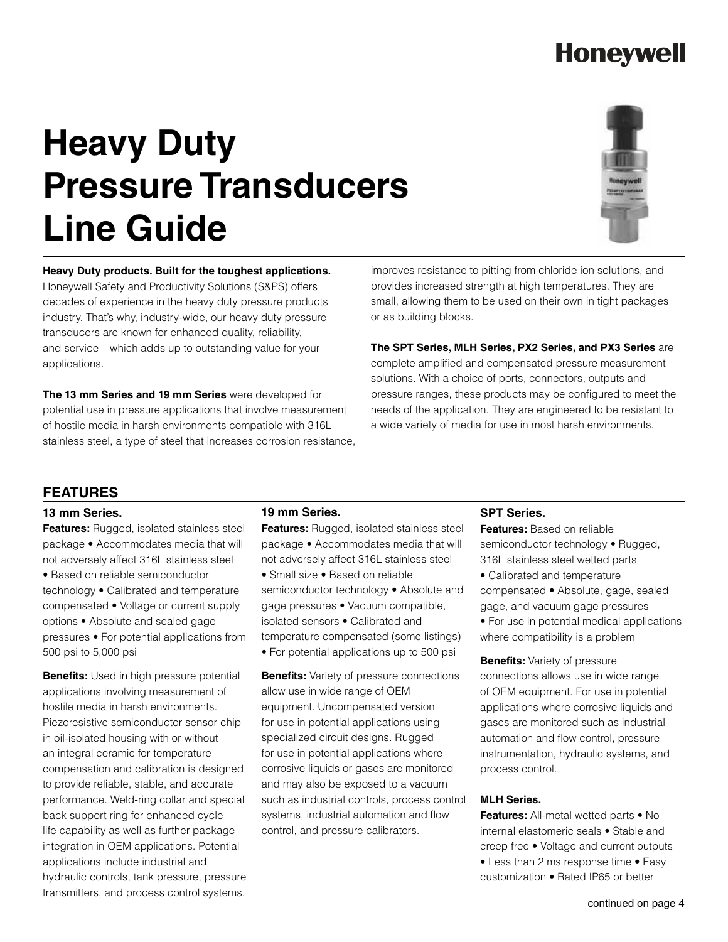## **Honeywell**

# **Heavy Duty Pressure Transducers Line Guide**



**Heavy Duty products. Built for the toughest applications.**  Honeywell Safety and Productivity Solutions (S&PS) offers decades of experience in the heavy duty pressure products industry. That's why, industry-wide, our heavy duty pressure transducers are known for enhanced quality, reliability, and service – which adds up to outstanding value for your applications.

**The 13 mm Series and 19 mm Series** were developed for potential use in pressure applications that involve measurement of hostile media in harsh environments compatible with 316L stainless steel, a type of steel that increases corrosion resistance,

improves resistance to pitting from chloride ion solutions, and provides increased strength at high temperatures. They are small, allowing them to be used on their own in tight packages or as building blocks.

**The SPT Series, MLH Series, PX2 Series, and PX3 Series** are complete amplified and compensated pressure measurement solutions. With a choice of ports, connectors, outputs and pressure ranges, these products may be configured to meet the needs of the application. They are engineered to be resistant to a wide variety of media for use in most harsh environments.

### **FEATURES**

### **13 mm Series.**

**Features:** Rugged, isolated stainless steel package • Accommodates media that will not adversely affect 316L stainless steel • Based on reliable semiconductor technology • Calibrated and temperature compensated • Voltage or current supply options • Absolute and sealed gage pressures • For potential applications from 500 psi to 5,000 psi

**Benefits:** Used in high pressure potential applications involving measurement of hostile media in harsh environments. Piezoresistive semiconductor sensor chip in oil-isolated housing with or without an integral ceramic for temperature compensation and calibration is designed to provide reliable, stable, and accurate performance. Weld-ring collar and special back support ring for enhanced cycle life capability as well as further package integration in OEM applications. Potential applications include industrial and hydraulic controls, tank pressure, pressure transmitters, and process control systems.

### **19 mm Series.**

**Features:** Rugged, isolated stainless steel package • Accommodates media that will not adversely affect 316L stainless steel • Small size • Based on reliable semiconductor technology • Absolute and gage pressures • Vacuum compatible,

isolated sensors • Calibrated and temperature compensated (some listings) • For potential applications up to 500 psi

**Benefits:** Variety of pressure connections allow use in wide range of OEM equipment. Uncompensated version for use in potential applications using specialized circuit designs. Rugged for use in potential applications where corrosive liquids or gases are monitored and may also be exposed to a vacuum such as industrial controls, process control systems, industrial automation and flow control, and pressure calibrators.

### **SPT Series.**

**Features:** Based on reliable semiconductor technology • Rugged, 316L stainless steel wetted parts

• Calibrated and temperature compensated • Absolute, gage, sealed gage, and vacuum gage pressures

• For use in potential medical applications where compatibility is a problem

**Benefits:** Variety of pressure connections allows use in wide range of OEM equipment. For use in potential applications where corrosive liquids and gases are monitored such as industrial automation and flow control, pressure instrumentation, hydraulic systems, and process control.

### **MLH Series.**

**Features:** All-metal wetted parts • No internal elastomeric seals • Stable and creep free • Voltage and current outputs • Less than 2 ms response time • Easy customization • Rated IP65 or better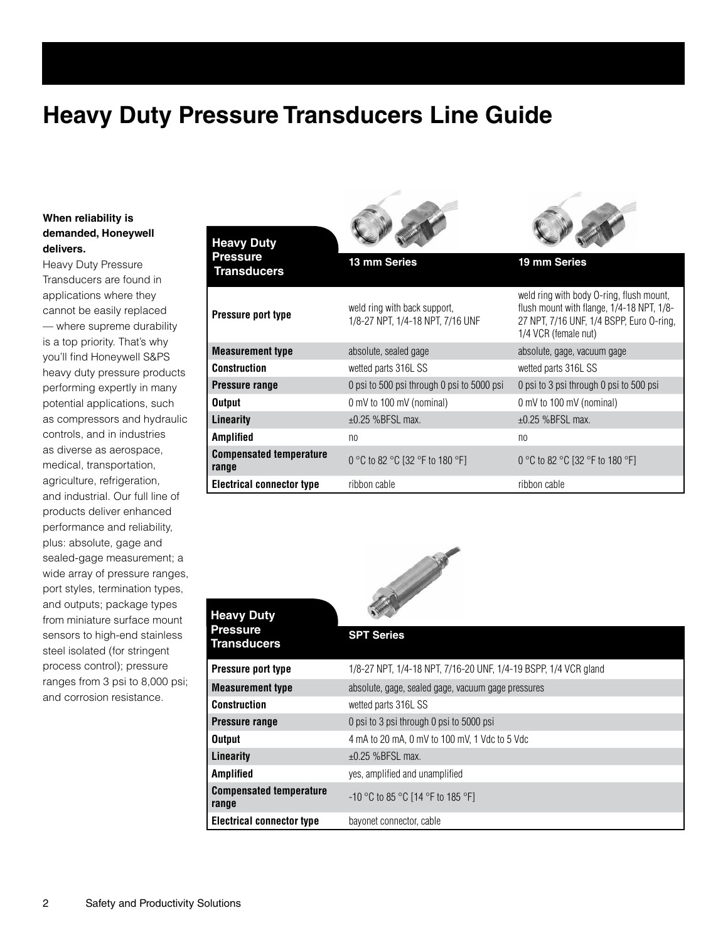### **Heavy Duty Pressure Transducers Line Guide**

### **When reliability is demanded, Honeywell delivers.**

Heavy Duty Pressure Transducers are found in applications where they cannot be easily replaced — where supreme durability is a top priority. That's why you'll find Honeywell S&PS heavy duty pressure products performing expertly in many potential applications, such as compressors and hydraulic controls, and in industries as diverse as aerospace, medical, transportation, agriculture, refrigeration, and industrial. Our full line of products deliver enhanced performance and reliability, plus: absolute, gage and sealed-gage measurement; a wide array of pressure ranges, port styles, termination types, and outputs; package types from miniature surface mount sensors to high-end stainless steel isolated (for stringent process control); pressure ranges from 3 psi to 8,000 psi; and corrosion resistance.

| <b>Heavy Duty</b>                       |                                                                  |                                                                                                                                                           |
|-----------------------------------------|------------------------------------------------------------------|-----------------------------------------------------------------------------------------------------------------------------------------------------------|
| <b>Pressure</b><br><b>Transducers</b>   | 13 mm Series                                                     | 19 mm Series                                                                                                                                              |
| Pressure port type                      | weld ring with back support.<br>1/8-27 NPT. 1/4-18 NPT. 7/16 UNF | weld ring with body O-ring, flush mount,<br>flush mount with flange, 1/4-18 NPT, 1/8-<br>27 NPT, 7/16 UNF, 1/4 BSPP, Euro 0-ring,<br>1/4 VCR (female nut) |
| <b>Measurement type</b>                 | absolute, sealed gage                                            | absolute, gage, vacuum gage                                                                                                                               |
| <b>Construction</b>                     | wetted parts 316L SS                                             | wetted parts 316L SS                                                                                                                                      |
| Pressure range                          | 0 psi to 500 psi through 0 psi to 5000 psi                       | 0 psi to 3 psi through 0 psi to 500 psi                                                                                                                   |
| <b>Output</b>                           | 0 mV to 100 mV (nominal)                                         | 0 mV to 100 mV (nominal)                                                                                                                                  |
| Linearity                               | $\pm 0.25$ %BFSL max.                                            | $\pm 0.25$ %BFSL max.                                                                                                                                     |
| <b>Amplified</b>                        | n <sub>0</sub>                                                   | n <sub>0</sub>                                                                                                                                            |
| <b>Compensated temperature</b><br>range | 0 °C to 82 °C [32 °F to 180 °F]                                  | 0 °C to 82 °C [32 °F to 180 °F]                                                                                                                           |
| <b>Electrical connector type</b>        | ribbon cable                                                     | ribbon cable                                                                                                                                              |

 $\sim$   $\sim$ 

 $\frac{1}{2}$ 



| <b>Heavy Duty</b>                       | <b>A</b> Million                                                |  |
|-----------------------------------------|-----------------------------------------------------------------|--|
| <b>Pressure</b><br>Transducers          | <b>SPT Series</b>                                               |  |
| Pressure port type                      | 1/8-27 NPT, 1/4-18 NPT, 7/16-20 UNF, 1/4-19 BSPP, 1/4 VCR gland |  |
| <b>Measurement type</b>                 | absolute, gage, sealed gage, vacuum gage pressures              |  |
| <b>Construction</b>                     | wetted parts 316L SS                                            |  |
| <b>Pressure range</b>                   | 0 psi to 3 psi through 0 psi to 5000 psi                        |  |
| <b>Output</b>                           | 4 mA to 20 mA, 0 mV to 100 mV, 1 Vdc to 5 Vdc                   |  |
| Linearity                               | $\pm 0.25$ %BFSL max.                                           |  |
| <b>Amplified</b>                        | yes, amplified and unamplified                                  |  |
| <b>Compensated temperature</b><br>range | $-10$ °C to 85 °C [14 °F to 185 °F]                             |  |
| <b>Electrical connector type</b>        | bayonet connector, cable                                        |  |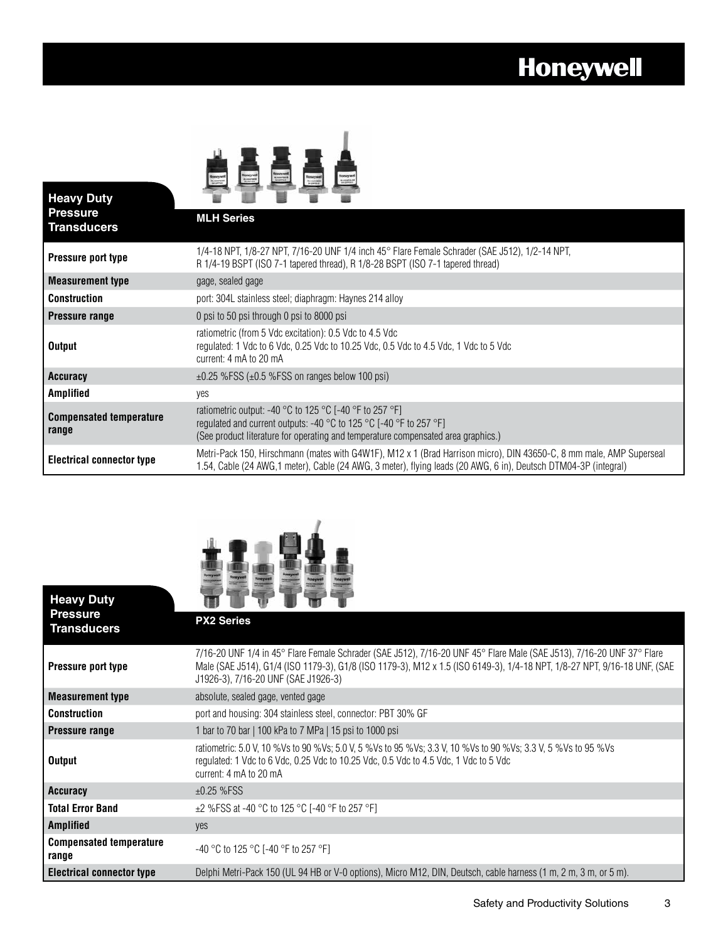# **Honeywell**

| <b>Heavy Duty</b><br><b>Pressure</b><br><b>Transducers</b> | <b>MLH Series</b>                                                                                                                                                                                                                                          |
|------------------------------------------------------------|------------------------------------------------------------------------------------------------------------------------------------------------------------------------------------------------------------------------------------------------------------|
| Pressure port type                                         | 1/4-18 NPT, 1/8-27 NPT, 7/16-20 UNF 1/4 inch 45° Flare Female Schrader (SAE J512), 1/2-14 NPT,<br>R 1/4-19 BSPT (ISO 7-1 tapered thread), R 1/8-28 BSPT (ISO 7-1 tapered thread)                                                                           |
| <b>Measurement type</b>                                    | gage, sealed gage                                                                                                                                                                                                                                          |
| Construction                                               | port: 304L stainless steel; diaphragm: Haynes 214 alloy                                                                                                                                                                                                    |
| <b>Pressure range</b>                                      | 0 psi to 50 psi through 0 psi to 8000 psi                                                                                                                                                                                                                  |
| <b>Output</b>                                              | ratiometric (from 5 Vdc excitation): 0.5 Vdc to 4.5 Vdc<br>regulated: 1 Vdc to 6 Vdc, 0.25 Vdc to 10.25 Vdc, 0.5 Vdc to 4.5 Vdc, 1 Vdc to 5 Vdc<br>current: 4 mA to 20 mA                                                                                  |
| Accuracy                                                   | $\pm 0.25$ %FSS ( $\pm 0.5$ %FSS on ranges below 100 psi)                                                                                                                                                                                                  |
| Amplified                                                  | yes                                                                                                                                                                                                                                                        |
| <b>Compensated temperature</b><br>range                    | ratiometric output: -40 °C to 125 °C [-40 °F to 257 °F]<br>regulated and current outputs: -40 $^{\circ}$ C to 125 $^{\circ}$ C [-40 $^{\circ}$ F to 257 $^{\circ}$ F]<br>(See product literature for operating and temperature compensated area graphics.) |
| <b>Electrical connector type</b>                           | Metri-Pack 150, Hirschmann (mates with G4W1F), M12 x 1 (Brad Harrison micro), DIN 43650-C, 8 mm male, AMP Superseal<br>1.54, Cable (24 AWG,1 meter), Cable (24 AWG, 3 meter), flying leads (20 AWG, 6 in), Deutsch DTM04-3P (integral)                     |



| <b>Heavy Duty</b>                       |                                                                                                                                                                                                                                                                                          |
|-----------------------------------------|------------------------------------------------------------------------------------------------------------------------------------------------------------------------------------------------------------------------------------------------------------------------------------------|
| <b>Pressure</b><br><b>Transducers</b>   | <b>PX2 Series</b>                                                                                                                                                                                                                                                                        |
| Pressure port type                      | 7/16-20 UNF 1/4 in 45° Flare Female Schrader (SAE J512), 7/16-20 UNF 45° Flare Male (SAE J513), 7/16-20 UNF 37° Flare<br>Male (SAE J514), G1/4 (ISO 1179-3), G1/8 (ISO 1179-3), M12 x 1.5 (ISO 6149-3), 1/4-18 NPT, 1/8-27 NPT, 9/16-18 UNF, (SAE<br>J1926-3), 7/16-20 UNF (SAE J1926-3) |
| <b>Measurement type</b>                 | absolute, sealed gage, vented gage                                                                                                                                                                                                                                                       |
| <b>Construction</b>                     | port and housing: 304 stainless steel, connector: PBT 30% GF                                                                                                                                                                                                                             |
| <b>Pressure range</b>                   | 1 bar to 70 bar   100 kPa to 7 MPa   15 psi to 1000 psi                                                                                                                                                                                                                                  |
| <b>Output</b>                           | ratiometric: 5.0 V, 10 %Vs to 90 %Vs; 5.0 V, 5 %Vs to 95 %Vs; 3.3 V, 10 %Vs to 90 %Vs; 3.3 V, 5 %Vs to 95 %Vs<br>regulated: 1 Vdc to 6 Vdc, 0.25 Vdc to 10.25 Vdc, 0.5 Vdc to 4.5 Vdc, 1 Vdc to 5 Vdc<br>current: 4 mA to 20 mA                                                          |
| Accuracy                                | $±0.25$ %FSS                                                                                                                                                                                                                                                                             |
| <b>Total Error Band</b>                 | $\pm$ 2 %FSS at -40 °C to 125 °C [-40 °F to 257 °F]                                                                                                                                                                                                                                      |
| <b>Amplified</b>                        | yes                                                                                                                                                                                                                                                                                      |
| <b>Compensated temperature</b><br>range | -40 °C to 125 °C [-40 °F to 257 °F]                                                                                                                                                                                                                                                      |
| <b>Electrical connector type</b>        | Delphi Metri-Pack 150 (UL 94 HB or V-0 options), Micro M12, DIN, Deutsch, cable harness (1 m, 2 m, 3 m, or 5 m).                                                                                                                                                                         |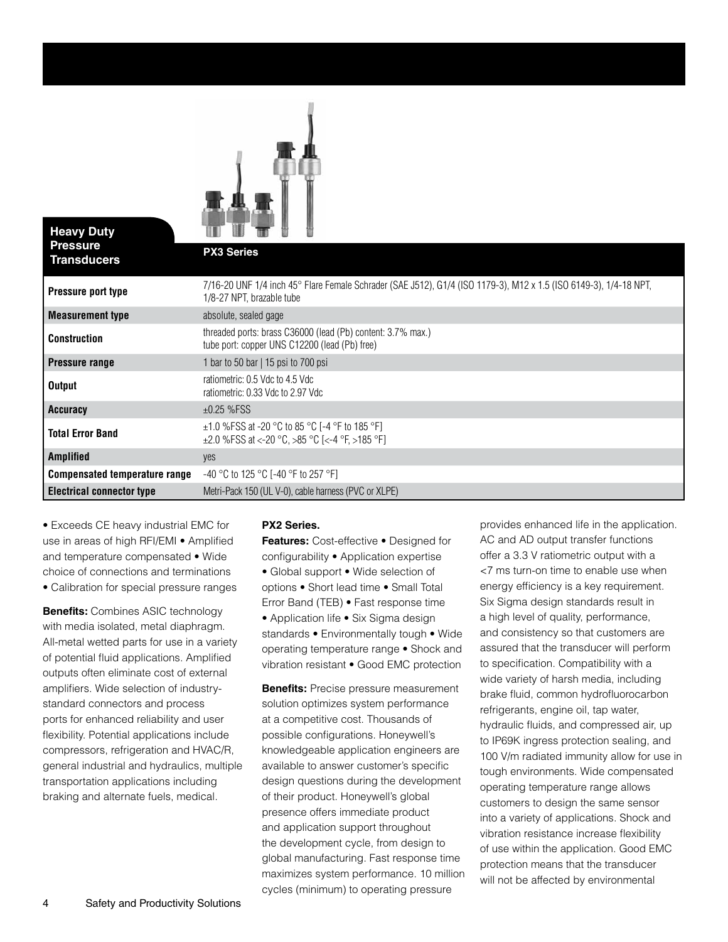

| <b>Heavy Duty</b><br><b>Pressure</b><br><b>Transducers</b> |                                                                                                                                                |
|------------------------------------------------------------|------------------------------------------------------------------------------------------------------------------------------------------------|
|                                                            | <b>PX3 Series</b>                                                                                                                              |
| Pressure port type                                         | 7/16-20 UNF 1/4 inch 45° Flare Female Schrader (SAE J512), G1/4 (ISO 1179-3), M12 x 1.5 (ISO 6149-3), 1/4-18 NPT,<br>1/8-27 NPT, brazable tube |
| <b>Measurement type</b>                                    | absolute, sealed gage                                                                                                                          |
| <b>Construction</b>                                        | threaded ports: brass C36000 (lead (Pb) content: 3.7% max.)<br>tube port: copper UNS C12200 (lead (Pb) free)                                   |
| <b>Pressure range</b>                                      | 1 bar to 50 bar   15 psi to 700 psi                                                                                                            |
| <b>Output</b>                                              | ratiometric: 0.5 Vdc to 4.5 Vdc<br>ratiometric: 0.33 Vdc to 2.97 Vdc                                                                           |
| Accuracy                                                   | $±0.25$ %FSS                                                                                                                                   |
| <b>Total Error Band</b>                                    | $\pm$ 1.0 %FSS at -20 °C to 85 °C [-4 °F to 185 °F]<br>$\pm 2.0$ %FSS at <-20 °C, >85 °C [<-4 °F, >185 °F]                                     |
| <b>Amplified</b>                                           | yes                                                                                                                                            |
| <b>Compensated temperature range</b>                       | $-40$ °C to 125 °C [-40 °F to 257 °F]                                                                                                          |
| <b>Electrical connector type</b>                           | Metri-Pack 150 (UL V-0), cable harness (PVC or XLPE)                                                                                           |

• Exceeds CE heavy industrial EMC for use in areas of high RFI/EMI • Amplified and temperature compensated • Wide choice of connections and terminations • Calibration for special pressure ranges

**Benefits: Combines ASIC technology** with media isolated, metal diaphragm. All-metal wetted parts for use in a variety of potential fluid applications. Amplified outputs often eliminate cost of external amplifiers. Wide selection of industrystandard connectors and process ports for enhanced reliability and user flexibility. Potential applications include compressors, refrigeration and HVAC/R, general industrial and hydraulics, multiple transportation applications including braking and alternate fuels, medical.

### **PX2 Series.**

**Features:** Cost-effective • Designed for configurability • Application expertise • Global support • Wide selection of options • Short lead time • Small Total Error Band (TEB) • Fast response time • Application life • Six Sigma design standards • Environmentally tough • Wide operating temperature range • Shock and vibration resistant • Good EMC protection

**Benefits:** Precise pressure measurement solution optimizes system performance at a competitive cost. Thousands of possible configurations. Honeywell's knowledgeable application engineers are available to answer customer's specific design questions during the development of their product. Honeywell's global presence offers immediate product and application support throughout the development cycle, from design to global manufacturing. Fast response time maximizes system performance. 10 million cycles (minimum) to operating pressure

provides enhanced life in the application. AC and AD output transfer functions offer a 3.3 V ratiometric output with a <7 ms turn-on time to enable use when energy efficiency is a key requirement. Six Sigma design standards result in a high level of quality, performance, and consistency so that customers are assured that the transducer will perform to specification. Compatibility with a wide variety of harsh media, including brake fluid, common hydrofluorocarbon refrigerants, engine oil, tap water, hydraulic fluids, and compressed air, up to IP69K ingress protection sealing, and 100 V/m radiated immunity allow for use in tough environments. Wide compensated operating temperature range allows customers to design the same sensor into a variety of applications. Shock and vibration resistance increase flexibility of use within the application. Good EMC protection means that the transducer will not be affected by environmental